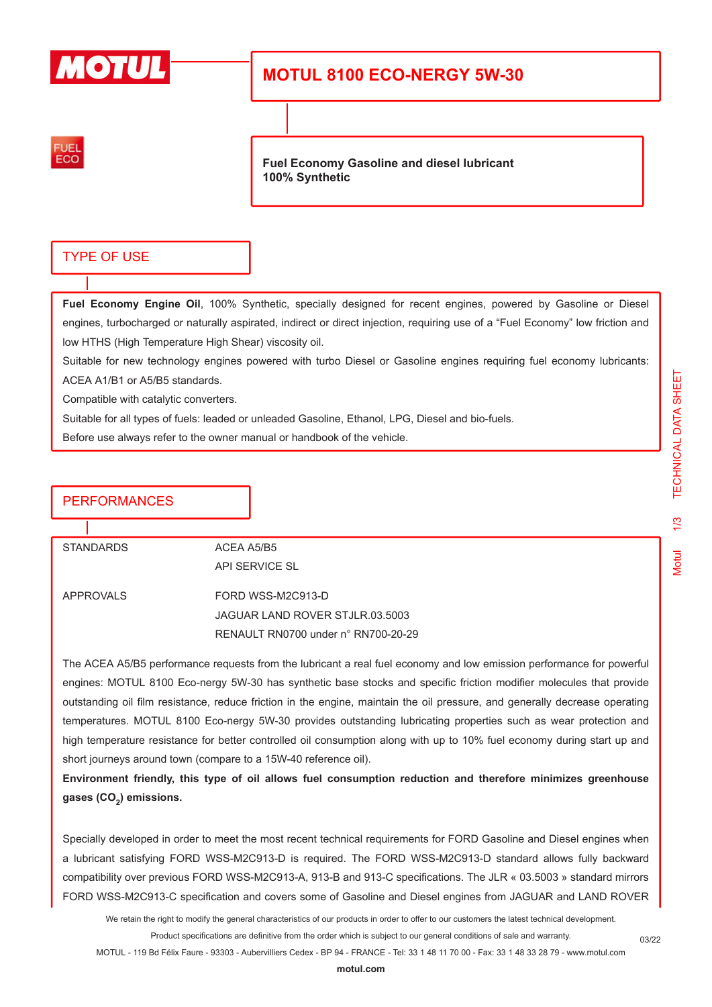

## **MOTUL 8100 ECO-NERGY 5W-30**



**Fuel Economy Gasoline and diesel lubricant 100% Synthetic**

### TYPE OF USE

**Fuel Economy Engine Oil**, 100% Synthetic, specially designed for recent engines, powered by Gasoline or Diesel engines, turbocharged or naturally aspirated, indirect or direct injection, requiring use of a "Fuel Economy" low friction and low HTHS (High Temperature High Shear) viscosity oil.

Suitable for new technology engines powered with turbo Diesel or Gasoline engines requiring fuel economy lubricants: ACEA A1/B1 or A5/B5 standards.

Compatible with catalytic converters.

Suitable for all types of fuels: leaded or unleaded Gasoline, Ethanol, LPG, Diesel and bio-fuels.

Before use always refer to the owner manual or handbook of the vehicle.

### PERFORMANCES

STANDARDS ACEA A5/B5

API SERVICE SL

APPROVALS FORD WSS-M2C913-D JAGUAR LAND ROVER STJLR.03.5003 RENAULT RN0700 under n° RN700-20-29

The ACEA A5/B5 performance requests from the lubricant a real fuel economy and low emission performance for powerful engines: MOTUL 8100 Eco-nergy 5W-30 has synthetic base stocks and specific friction modifier molecules that provide outstanding oil film resistance, reduce friction in the engine, maintain the oil pressure, and generally decrease operating temperatures. MOTUL 8100 Eco-nergy 5W-30 provides outstanding lubricating properties such as wear protection and high temperature resistance for better controlled oil consumption along with up to 10% fuel economy during start up and short journeys around town (compare to a 15W-40 reference oil).

**Environment friendly, this type of oil allows fuel consumption reduction and therefore minimizes greenhouse gases (CO<sup>2</sup> ) emissions.**

Specially developed in order to meet the most recent technical requirements for FORD Gasoline and Diesel engines when a lubricant satisfying FORD WSS-M2C913-D is required. The FORD WSS-M2C913-D standard allows fully backward compatibility over previous FORD WSS-M2C913-A, 913-B and 913-C specifications. The JLR « 03.5003 » standard mirrors FORD WSS-M2C913-C specification and covers some of Gasoline and Diesel engines from JAGUAR and LAND ROVER

We retain the right to modify the general characteristics of our products in order to offer to our customers the latest technical development.

Product specifications are definitive from the order which is subject to our general conditions of sale and warranty.

MOTUL - 119 Bd Félix Faure - 93303 - Aubervilliers Cedex - BP 94 - FRANCE - Tel: 33 1 48 11 70 00 - Fax: 33 1 48 33 28 79 - www.motul.com

03/22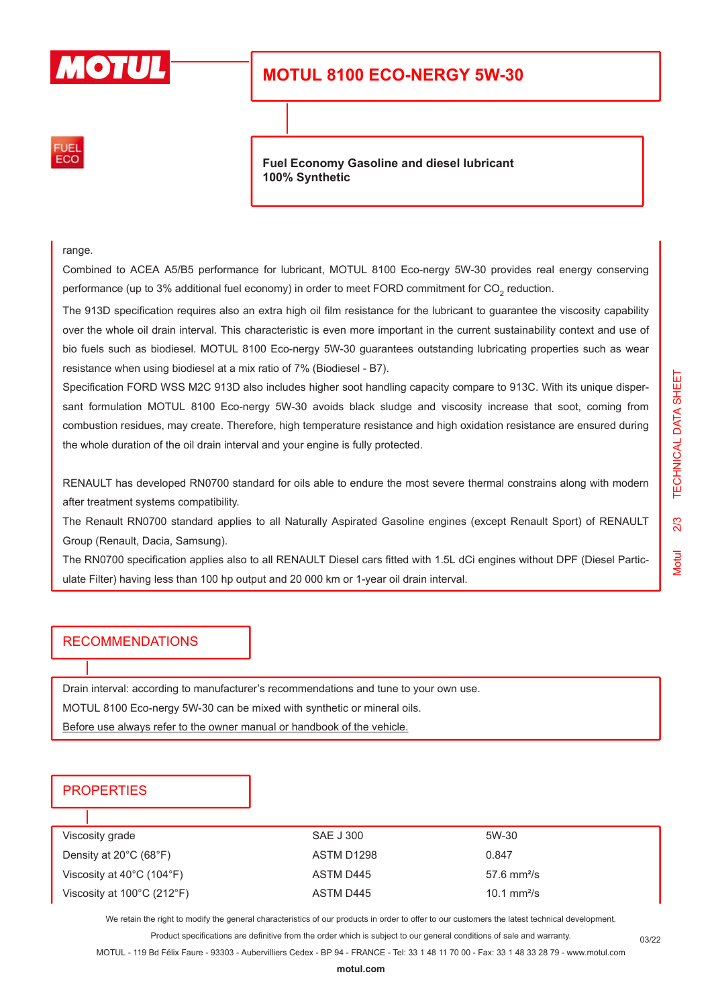

# **MOTUL 8100 ECO-NERGY 5W-30**



**Fuel Economy Gasoline and diesel lubricant 100% Synthetic**

range.

Combined to ACEA A5/B5 performance for lubricant, MOTUL 8100 Eco-nergy 5W-30 provides real energy conserving performance (up to 3% additional fuel economy) in order to meet FORD commitment for CO<sub>2</sub> reduction.

The 913D specification requires also an extra high oil film resistance for the lubricant to guarantee the viscosity capability over the whole oil drain interval. This characteristic is even more important in the current sustainability context and use of bio fuels such as biodiesel. MOTUL 8100 Eco-nergy 5W-30 guarantees outstanding lubricating properties such as wear resistance when using biodiesel at a mix ratio of 7% (Biodiesel - B7).

Specification FORD WSS M2C 913D also includes higher soot handling capacity compare to 913C. With its unique dispersant formulation MOTUL 8100 Eco-nergy 5W-30 avoids black sludge and viscosity increase that soot, coming from combustion residues, may create. Therefore, high temperature resistance and high oxidation resistance are ensured during the whole duration of the oil drain interval and your engine is fully protected.

RENAULT has developed RN0700 standard for oils able to endure the most severe thermal constrains along with modern after treatment systems compatibility.

The Renault RN0700 standard applies to all Naturally Aspirated Gasoline engines (except Renault Sport) of RENAULT Group (Renault, Dacia, Samsung).

The RN0700 specification applies also to all RENAULT Diesel cars fitted with 1.5L dCi engines without DPF (Diesel Particulate Filter) having less than 100 hp output and 20 000 km or 1-year oil drain interval.

#### RECOMMENDATIONS

Drain interval: according to manufacturer's recommendations and tune to your own use.

MOTUL 8100 Eco-nergy 5W-30 can be mixed with synthetic or mineral oils.

Before use always refer to the owner manual or handbook of the vehicle.

### **PROPERTIES**

| Viscosity grade                                 | SAE J 300  | 5W-30                        |
|-------------------------------------------------|------------|------------------------------|
| Density at $20^{\circ}$ C (68 $^{\circ}$ F)     | ASTM D1298 | 0.847                        |
| Viscosity at $40^{\circ}$ C (104 $^{\circ}$ F)  | ASTM D445  | $57.6 \text{ mm}^2/\text{s}$ |
| Viscosity at $100^{\circ}$ C (212 $^{\circ}$ F) | ASTM D445  | 10.1 $mm^2/s$                |
|                                                 |            |                              |

We retain the right to modify the general characteristics of our products in order to offer to our customers the latest technical development.

Product specifications are definitive from the order which is subject to our general conditions of sale and warranty.

MOTUL - 119 Bd Félix Faure - 93303 - Aubervilliers Cedex - BP 94 - FRANCE - Tel: 33 1 48 11 70 00 - Fax: 33 1 48 33 28 79 - www.motul.com

03/22